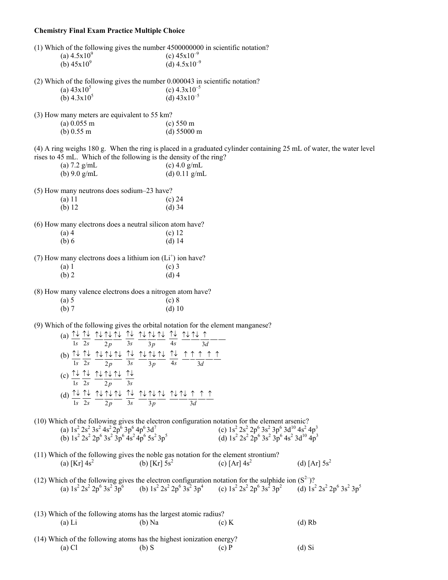## **Chemistry Final Exam Practice Multiple Choice**

| (1) Which of the following gives the number 4500000000 in scientific notation?                                                                                                                                                                                                                                                               |                                                                                                                                                                                                                                      |                 |
|----------------------------------------------------------------------------------------------------------------------------------------------------------------------------------------------------------------------------------------------------------------------------------------------------------------------------------------------|--------------------------------------------------------------------------------------------------------------------------------------------------------------------------------------------------------------------------------------|-----------------|
| (a) $4.5x10^9$                                                                                                                                                                                                                                                                                                                               | (c) $45x10^{-9}$                                                                                                                                                                                                                     |                 |
| (b) $45x10^9$                                                                                                                                                                                                                                                                                                                                | (d) $4.5 \times 10^{-9}$                                                                                                                                                                                                             |                 |
| (2) Which of the following gives the number 0.000043 in scientific notation?                                                                                                                                                                                                                                                                 |                                                                                                                                                                                                                                      |                 |
| (a) $43x10^5$                                                                                                                                                                                                                                                                                                                                | (c) $4.3 \times 10^{-5}$                                                                                                                                                                                                             |                 |
| (b) $4.3 \times 10^5$                                                                                                                                                                                                                                                                                                                        | (d) $43x10^{-5}$                                                                                                                                                                                                                     |                 |
|                                                                                                                                                                                                                                                                                                                                              |                                                                                                                                                                                                                                      |                 |
| (3) How many meters are equivalent to 55 km?                                                                                                                                                                                                                                                                                                 |                                                                                                                                                                                                                                      |                 |
| $(a)$ 0.055 m                                                                                                                                                                                                                                                                                                                                | (c) 550 m                                                                                                                                                                                                                            |                 |
| (b) $0.55 \text{ m}$                                                                                                                                                                                                                                                                                                                         | (d) 55000 m                                                                                                                                                                                                                          |                 |
|                                                                                                                                                                                                                                                                                                                                              | (4) A ring weighs 180 g. When the ring is placed in a graduated cylinder containing 25 mL of water, the water level                                                                                                                  |                 |
| rises to 45 mL. Which of the following is the density of the ring?                                                                                                                                                                                                                                                                           |                                                                                                                                                                                                                                      |                 |
| (a) $7.2$ g/mL                                                                                                                                                                                                                                                                                                                               | (c) $4.0$ g/mL                                                                                                                                                                                                                       |                 |
| (b) $9.0$ g/mL                                                                                                                                                                                                                                                                                                                               | (d) $0.11$ g/mL                                                                                                                                                                                                                      |                 |
| (5) How many neutrons does sodium-23 have?                                                                                                                                                                                                                                                                                                   |                                                                                                                                                                                                                                      |                 |
| $(a)$ 11                                                                                                                                                                                                                                                                                                                                     | (c) 24                                                                                                                                                                                                                               |                 |
| (b) 12                                                                                                                                                                                                                                                                                                                                       | $(d)$ 34                                                                                                                                                                                                                             |                 |
| (6) How many electrons does a neutral silicon atom have?                                                                                                                                                                                                                                                                                     |                                                                                                                                                                                                                                      |                 |
| $(a)$ 4                                                                                                                                                                                                                                                                                                                                      | $(c)$ 12                                                                                                                                                                                                                             |                 |
| (b) 6                                                                                                                                                                                                                                                                                                                                        | $(d)$ 14                                                                                                                                                                                                                             |                 |
|                                                                                                                                                                                                                                                                                                                                              |                                                                                                                                                                                                                                      |                 |
| (7) How many electrons does a lithium ion $(L+)$ ion have?                                                                                                                                                                                                                                                                                   |                                                                                                                                                                                                                                      |                 |
| (a) 1                                                                                                                                                                                                                                                                                                                                        | $(c)$ 3                                                                                                                                                                                                                              |                 |
| $(b)$ 2                                                                                                                                                                                                                                                                                                                                      | $(d)$ 4                                                                                                                                                                                                                              |                 |
|                                                                                                                                                                                                                                                                                                                                              |                                                                                                                                                                                                                                      |                 |
| (8) How many valence electrons does a nitrogen atom have?                                                                                                                                                                                                                                                                                    |                                                                                                                                                                                                                                      |                 |
| (a) 5                                                                                                                                                                                                                                                                                                                                        | (c) 8                                                                                                                                                                                                                                |                 |
| (b) 7                                                                                                                                                                                                                                                                                                                                        | (d) 10                                                                                                                                                                                                                               |                 |
|                                                                                                                                                                                                                                                                                                                                              |                                                                                                                                                                                                                                      |                 |
| (9) Which of the following gives the orbital notation for the element manganese?                                                                                                                                                                                                                                                             |                                                                                                                                                                                                                                      |                 |
| (a) $\frac{\uparrow\downarrow}{\text{ls}} \frac{\uparrow\downarrow}{2s} \frac{\uparrow\downarrow}{2p} \frac{\uparrow\downarrow}{3s} \frac{\uparrow\downarrow}{3s} \frac{\uparrow\downarrow}{3p} \frac{\uparrow\downarrow}{4s} \frac{\uparrow\downarrow}{4s} \frac{\uparrow\downarrow}{3d}$                                                   |                                                                                                                                                                                                                                      |                 |
|                                                                                                                                                                                                                                                                                                                                              |                                                                                                                                                                                                                                      |                 |
| (b) $\frac{\uparrow\downarrow}{\text{ls}} \frac{\uparrow\downarrow}{2s} \frac{\uparrow\downarrow}{2p} \frac{\uparrow\downarrow}{2p} \frac{\uparrow\downarrow}{3s} \frac{\uparrow\downarrow}{3p} \frac{\uparrow\downarrow}{3p} \frac{\uparrow\downarrow}{4s} \frac{\uparrow}{4s} \frac{\uparrow}{2s} \frac{\uparrow}{3d} \frac{\uparrow}{4s}$ |                                                                                                                                                                                                                                      |                 |
|                                                                                                                                                                                                                                                                                                                                              |                                                                                                                                                                                                                                      |                 |
|                                                                                                                                                                                                                                                                                                                                              |                                                                                                                                                                                                                                      |                 |
| (c) $\frac{\uparrow\downarrow}{\text{1s}} \frac{\uparrow\downarrow}{\text{2s}} \frac{\uparrow\downarrow}{\text{2p}} \frac{\uparrow\downarrow}{\text{2p}} \frac{\uparrow\downarrow}{\text{3s}}$                                                                                                                                               |                                                                                                                                                                                                                                      |                 |
|                                                                                                                                                                                                                                                                                                                                              |                                                                                                                                                                                                                                      |                 |
| (d) $\frac{\uparrow\downarrow}{\text{ls}} \frac{\uparrow\downarrow}{2s} \frac{\uparrow\downarrow}{2p} \frac{\uparrow\downarrow}{2p} \frac{\uparrow\downarrow}{3s} \frac{\uparrow\downarrow}{3p} \frac{\uparrow\downarrow}{3p} \frac{\uparrow\downarrow}{s} \frac{\uparrow}{3p} \frac{\uparrow}{s} \frac{\uparrow}{s}$                        |                                                                                                                                                                                                                                      |                 |
|                                                                                                                                                                                                                                                                                                                                              |                                                                                                                                                                                                                                      |                 |
|                                                                                                                                                                                                                                                                                                                                              |                                                                                                                                                                                                                                      |                 |
|                                                                                                                                                                                                                                                                                                                                              | (10) Which of the following gives the electron configuration notation for the element arsenic?<br>(a) $1s^2 2s^2 3s^2 4s^2 2p^6 3p^6 4p^6 3d^7$<br>(b) $1s^2 2s^2 2p^6 3s^2 3p^6 4s^2 4p^6 5s^2 3p^5$<br>(d) $1s^2 2s^2 2p^6 3s^2 3$ |                 |
|                                                                                                                                                                                                                                                                                                                                              |                                                                                                                                                                                                                                      |                 |
|                                                                                                                                                                                                                                                                                                                                              |                                                                                                                                                                                                                                      |                 |
| (11) Which of the following gives the noble gas notation for the element strontium?                                                                                                                                                                                                                                                          |                                                                                                                                                                                                                                      |                 |
| (a) [Kr] $4s^2$<br>(b) [Kr] $5s^2$                                                                                                                                                                                                                                                                                                           | (c) $[Ar] 4s^2$                                                                                                                                                                                                                      | (d) [Ar] $5s^2$ |
|                                                                                                                                                                                                                                                                                                                                              |                                                                                                                                                                                                                                      |                 |
|                                                                                                                                                                                                                                                                                                                                              |                                                                                                                                                                                                                                      |                 |
|                                                                                                                                                                                                                                                                                                                                              | (12) Which of the following gives the electron configuration notation for the sulphide ion $(S^2)$ ?<br>(a) $1s^2 2s^2 2p^6 3s^2 3p^6$ (b) $1s^2 2s^2 2p^6 3s^2 3p^4$ (c) $1s^2 2s^2 2p^6 3s^2 3p^2$ (d) $1s^2 2s^2 2p^6 3s^2 3p^$   |                 |
|                                                                                                                                                                                                                                                                                                                                              |                                                                                                                                                                                                                                      |                 |
|                                                                                                                                                                                                                                                                                                                                              |                                                                                                                                                                                                                                      |                 |
| (13) Which of the following atoms has the largest atomic radius?                                                                                                                                                                                                                                                                             |                                                                                                                                                                                                                                      |                 |
| $(a)$ Li<br>$(b)$ Na                                                                                                                                                                                                                                                                                                                         | $(c)$ K                                                                                                                                                                                                                              | $(d)$ Rb        |
|                                                                                                                                                                                                                                                                                                                                              |                                                                                                                                                                                                                                      |                 |
| (14) Which of the following atoms has the highest ionization energy?                                                                                                                                                                                                                                                                         |                                                                                                                                                                                                                                      |                 |

|          | $\rightarrow$ ) which of the following atoms has the ingliest follization energy. |         |          |
|----------|-----------------------------------------------------------------------------------|---------|----------|
| $(a)$ Cl | $(b)$ S                                                                           | $(c)$ P | $(d)$ Si |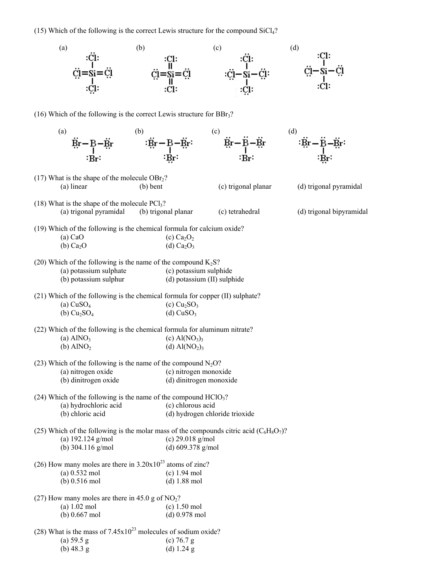(15) Which of the following is the correct Lewis structure for the compound  $SiCl<sub>4</sub>$ ?

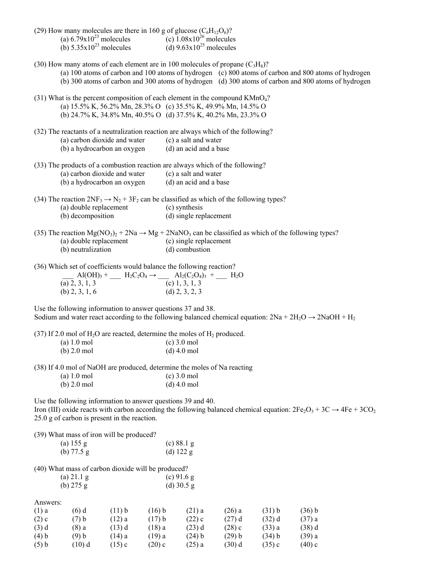|                                              | (29) How many molecules are there in 160 g of glucose $(C_6H_{12}O_6)$ ?<br>(a) $6.79 \times 10^{23}$ molecules<br>(b) $5.35 \times 10^{23}$ molecules<br>(d) $9.63 \times 10^{25}$ molecules                                                                                                                       |                                |                                |                                                                                                                                                              |                              |                                |                                                                                                                                 |  |  |
|----------------------------------------------|---------------------------------------------------------------------------------------------------------------------------------------------------------------------------------------------------------------------------------------------------------------------------------------------------------------------|--------------------------------|--------------------------------|--------------------------------------------------------------------------------------------------------------------------------------------------------------|------------------------------|--------------------------------|---------------------------------------------------------------------------------------------------------------------------------|--|--|
|                                              | (30) How many atoms of each element are in 100 molecules of propane $(C_3H_8)$ ?<br>(a) 100 atoms of carbon and 100 atoms of hydrogen (c) 800 atoms of carbon and 800 atoms of hydrogen<br>(b) 300 atoms of carbon and 300 atoms of hydrogen (d) 300 atoms of carbon and 800 atoms of hydrogen                      |                                |                                |                                                                                                                                                              |                              |                                |                                                                                                                                 |  |  |
|                                              | $(31)$ What is the percent composition of each element in the compound KMnO <sub>4</sub> ?<br>(a) $15.5\%$ K, $56.2\%$ Mn, $28.3\%$ O (c) $35.5\%$ K, $49.9\%$ Mn, $14.5\%$ O<br>(b) 24.7% K, 34.8% Mn, 40.5% O (d) 37.5% K, 40.2% Mn, 23.3% O                                                                      |                                |                                |                                                                                                                                                              |                              |                                |                                                                                                                                 |  |  |
|                                              | (32) The reactants of a neutralization reaction are always which of the following?<br>(a) carbon dioxide and water<br>(c) a salt and water<br>(b) a hydrocarbon an oxygen<br>(d) an acid and a base                                                                                                                 |                                |                                |                                                                                                                                                              |                              |                                |                                                                                                                                 |  |  |
|                                              | (33) The products of a combustion reaction are always which of the following?<br>(a) carbon dioxide and water<br>(b) a hydrocarbon an oxygen                                                                                                                                                                        |                                |                                | (c) a salt and water<br>(d) an acid and a base                                                                                                               |                              |                                |                                                                                                                                 |  |  |
|                                              | (34) The reaction $2NF_3 \rightarrow N_2 + 3F_2$ can be classified as which of the following types?<br>(a) double replacement<br>(b) decomposition                                                                                                                                                                  |                                |                                | (c) synthesis<br>(d) single replacement                                                                                                                      |                              |                                |                                                                                                                                 |  |  |
| (a) double replacement<br>(b) neutralization |                                                                                                                                                                                                                                                                                                                     |                                |                                | (35) The reaction $Mg(NO_3)_2 + 2Na \rightarrow Mg + 2NaNO_3$ can be classified as which of the following types?<br>(c) single replacement<br>(d) combustion |                              |                                |                                                                                                                                 |  |  |
|                                              | (36) Which set of coefficients would balance the following reaction?<br>Al(OH) <sub>3</sub> + H <sub>2</sub> C <sub>2</sub> O <sub>4</sub> $\rightarrow$ Al <sub>2</sub> (C <sub>2</sub> O <sub>4</sub> ) <sub>3</sub> + H <sub>2</sub> O<br>(a) 2, 3, 1, 3<br>(b) 2, 3, 1, 6<br>(d) 2, 3, 2, 3<br>(b) $2, 3, 1, 6$ |                                |                                | (d) $2, 3, 2, 3$                                                                                                                                             |                              |                                |                                                                                                                                 |  |  |
|                                              | Use the following information to answer questions 37 and 38.                                                                                                                                                                                                                                                        |                                |                                |                                                                                                                                                              |                              |                                | Sodium and water react according to the following balanced chemical equation: $2Na + 2H_2O \rightarrow 2NaOH + H_2$             |  |  |
|                                              | (37) If 2.0 mol of $H_2O$ are reacted, determine the moles of $H_2$ produced.<br>$(a) 1.0$ mol<br>$(b)$ 2.0 mol                                                                                                                                                                                                     |                                |                                | $(c)$ 3.0 mol<br>$(d)$ 4.0 mol                                                                                                                               |                              |                                |                                                                                                                                 |  |  |
|                                              | (38) If 4.0 mol of NaOH are produced, determine the moles of Na reacting                                                                                                                                                                                                                                            |                                |                                |                                                                                                                                                              |                              |                                |                                                                                                                                 |  |  |
|                                              | $(a) 1.0$ mol<br>$(b)$ 2.0 mol                                                                                                                                                                                                                                                                                      |                                |                                | $(c)$ 3.0 mol<br>$(d)$ 4.0 mol                                                                                                                               |                              |                                |                                                                                                                                 |  |  |
|                                              | Use the following information to answer questions 39 and 40.<br>25.0 g of carbon is present in the reaction.                                                                                                                                                                                                        |                                |                                |                                                                                                                                                              |                              |                                | Iron (III) oxide reacts with carbon according the following balanced chemical equation: $2Fe_2O_3 + 3C \rightarrow 4Fe + 3CO_2$ |  |  |
|                                              | (39) What mass of iron will be produced?<br>(a) 155 g<br>(b) $77.5 g$                                                                                                                                                                                                                                               |                                |                                | (c) 88.1 g<br>(d) $122 g$                                                                                                                                    |                              |                                |                                                                                                                                 |  |  |
|                                              | (40) What mass of carbon dioxide will be produced?<br>(a) 21.1 g                                                                                                                                                                                                                                                    |                                |                                | $(c)$ 91.6 g                                                                                                                                                 |                              |                                |                                                                                                                                 |  |  |
|                                              | (b) $275 g$                                                                                                                                                                                                                                                                                                         |                                |                                | (d) $30.5$ g                                                                                                                                                 |                              |                                |                                                                                                                                 |  |  |
| Answers:<br>$(1)$ a<br>$(2)$ c<br>(3) d      | $(6)$ d<br>(7) b<br>$(8)$ a                                                                                                                                                                                                                                                                                         | (11) b<br>$(12)$ a<br>$(13)$ d | $(16)$ b<br>(17) b<br>$(18)$ a | $(21)$ a<br>$(22)$ c<br>$(23)$ d                                                                                                                             | $(26)$ a<br>(27) d<br>(28) c | (31) b<br>$(32)$ d<br>$(33)$ a | (36) b<br>(37) a<br>$(38)$ d                                                                                                    |  |  |

(4) b (5) b (9) b (10) d (14) a  $(15)$  c (19) a  $(20)$  c (24) b (25) a

(29) b (30) d (34) b (35) c

(39) a  $(40) c$